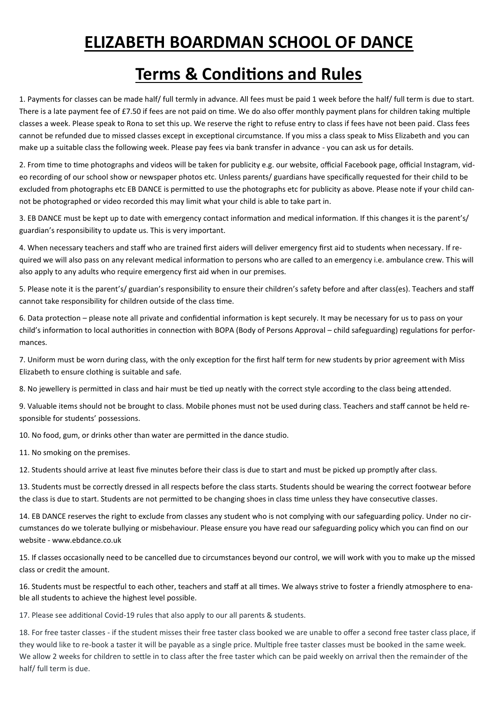## **ELIZABETH BOARDMAN SCHOOL OF DANCE**

## **Terms & Conditions and Rules**

1. Payments for classes can be made half/ full termly in advance. All fees must be paid 1 week before the half/ full term is due to start. There is a late payment fee of £7.50 if fees are not paid on time. We do also offer monthly payment plans for children taking multiple classes a week. Please speak to Rona to set this up. We reserve the right to refuse entry to class if fees have not been paid. Class fees cannot be refunded due to missed classes except in exceptional circumstance. If you miss a class speak to Miss Elizabeth and you can make up a suitable class the following week. Please pay fees via bank transfer in advance - you can ask us for details.

2. From time to time photographs and videos will be taken for publicity e.g. our website, official Facebook page, official Instagram, video recording of our school show or newspaper photos etc. Unless parents/ guardians have specifically requested for their child to be excluded from photographs etc EB DANCE is permitted to use the photographs etc for publicity as above. Please note if your child cannot be photographed or video recorded this may limit what your child is able to take part in.

3. EB DANCE must be kept up to date with emergency contact information and medical information. If this changes it is the parent's/ guardian's responsibility to update us. This is very important.

4. When necessary teachers and staff who are trained first aiders will deliver emergency first aid to students when necessary. If required we will also pass on any relevant medical information to persons who are called to an emergency i.e. ambulance crew. This will also apply to any adults who require emergency first aid when in our premises.

5. Please note it is the parent's/ guardian's responsibility to ensure their children's safety before and after class(es). Teachers and staff cannot take responsibility for children outside of the class time.

6. Data protection – please note all private and confidential information is kept securely. It may be necessary for us to pass on your child's information to local authorities in connection with BOPA (Body of Persons Approval – child safeguarding) regulations for performances.

7. Uniform must be worn during class, with the only exception for the first half term for new students by prior agreement with Miss Elizabeth to ensure clothing is suitable and safe.

8. No jewellery is permitted in class and hair must be tied up neatly with the correct style according to the class being attended.

9. Valuable items should not be brought to class. Mobile phones must not be used during class. Teachers and staff cannot be held responsible for students' possessions.

10. No food, gum, or drinks other than water are permitted in the dance studio.

11. No smoking on the premises.

12. Students should arrive at least five minutes before their class is due to start and must be picked up promptly after class.

13. Students must be correctly dressed in all respects before the class starts. Students should be wearing the correct footwear before the class is due to start. Students are not permitted to be changing shoes in class time unless they have consecutive classes.

14. EB DANCE reserves the right to exclude from classes any student who is not complying with our safeguarding policy. Under no circumstances do we tolerate bullying or misbehaviour. Please ensure you have read our safeguarding policy which you can find on our website - www.ebdance.co.uk

15. If classes occasionally need to be cancelled due to circumstances beyond our control, we will work with you to make up the missed class or credit the amount.

16. Students must be respectful to each other, teachers and staff at all times. We always strive to foster a friendly atmosphere to enable all students to achieve the highest level possible.

17. Please see additional Covid-19 rules that also apply to our all parents & students.

18. For free taster classes - if the student misses their free taster class booked we are unable to offer a second free taster class place, if they would like to re-book a taster it will be payable as a single price. Multiple free taster classes must be booked in the same week. We allow 2 weeks for children to settle in to class after the free taster which can be paid weekly on arrival then the remainder of the half/ full term is due.